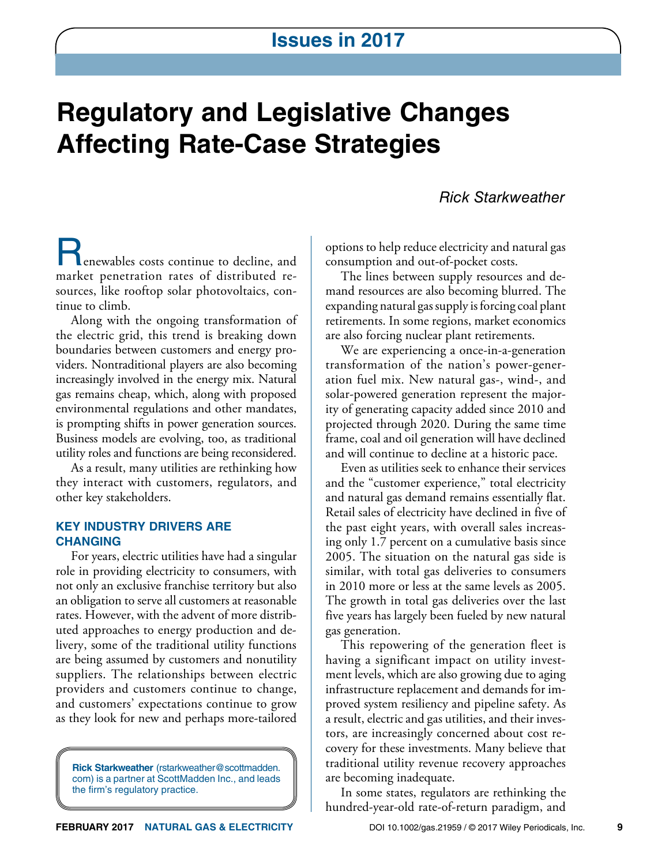# **Regulatory and Legislative Changes Affecting Rate-Case Strategies**

## *Rick Starkweather*

enewables costs continue to decline, and market penetration rates of distributed resources, like rooftop solar photovoltaics, continue to climb.

Along with the ongoing transformation of the electric grid, this trend is breaking down boundaries between customers and energy providers. Nontraditional players are also becoming increasingly involved in the energy mix. Natural gas remains cheap, which, along with proposed environmental regulations and other mandates, is prompting shifts in power generation sources. Business models are evolving, too, as traditional utility roles and functions are being reconsidered.

As a result, many utilities are rethinking how they interact with customers, regulators, and other key stakeholders.

#### **KEY INDUSTRY DRIVERS ARE CHANGING**

For years, electric utilities have had a singular role in providing electricity to consumers, with not only an exclusive franchise territory but also an obligation to serve all customers at reasonable rates. However, with the advent of more distributed approaches to energy production and delivery, some of the traditional utility functions are being assumed by customers and nonutility suppliers. The relationships between electric providers and customers continue to change, and customers' expectations continue to grow as they look for new and perhaps more-tailored

**Rick Starkweather** (rstarkweather@scottmadden. com) is a partner at ScottMadden Inc., and leads the firm's regulatory practice.

options to help reduce electricity and natural gas consumption and out-of-pocket costs.

The lines between supply resources and demand resources are also becoming blurred. The expanding natural gas supply is forcing coal plant retirements. In some regions, market economics are also forcing nuclear plant retirements.

We are experiencing a once-in-a-generation transformation of the nation's power-generation fuel mix. New natural gas-, wind-, and solar-powered generation represent the majority of generating capacity added since 2010 and projected through 2020. During the same time frame, coal and oil generation will have declined and will continue to decline at a historic pace.

Even as utilities seek to enhance their services and the "customer experience," total electricity and natural gas demand remains essentially flat. Retail sales of electricity have declined in five of the past eight years, with overall sales increasing only 1.7 percent on a cumulative basis since 2005. The situation on the natural gas side is similar, with total gas deliveries to consumers in 2010 more or less at the same levels as 2005. The growth in total gas deliveries over the last five years has largely been fueled by new natural gas generation.

This repowering of the generation fleet is having a significant impact on utility investment levels, which are also growing due to aging infrastructure replacement and demands for improved system resiliency and pipeline safety. As a result, electric and gas utilities, and their investors, are increasingly concerned about cost recovery for these investments. Many believe that traditional utility revenue recovery approaches are becoming inadequate.

In some states, regulators are rethinking the hundred-year-old rate-of-return paradigm, and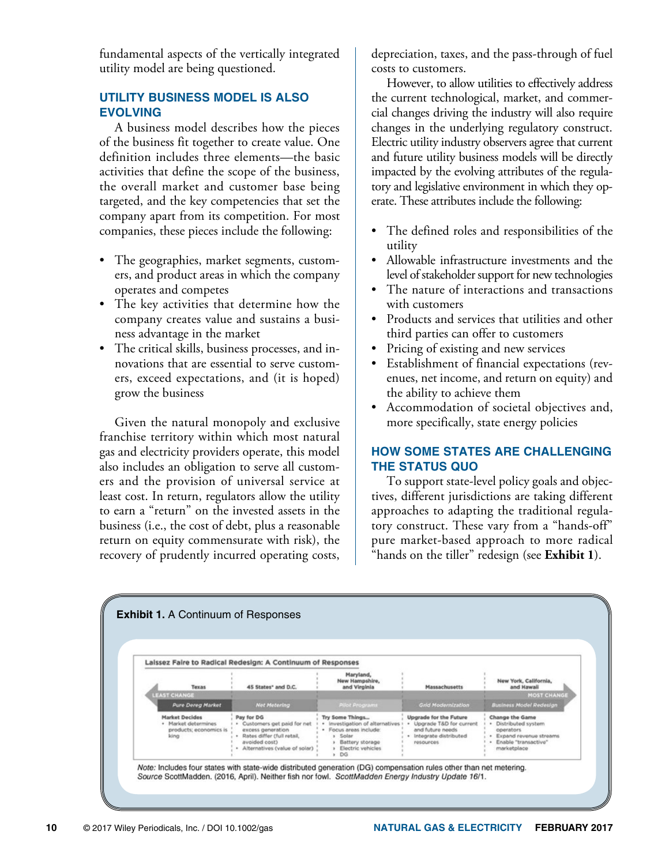fundamental aspects of the vertically integrated utility model are being questioned.

## **UTILITY BUSINESS MODEL IS ALSO EVOLVING**

A business model describes how the pieces of the business fit together to create value. One definition includes three elements—the basic activities that define the scope of the business, the overall market and customer base being targeted, and the key competencies that set the company apart from its competition. For most companies, these pieces include the following:

- The geographies, market segments, customers, and product areas in which the company operates and competes
- The key activities that determine how the company creates value and sustains a business advantage in the market
- The critical skills, business processes, and innovations that are essential to serve customers, exceed expectations, and (it is hoped) grow the business

Given the natural monopoly and exclusive franchise territory within which most natural gas and electricity providers operate, this model also includes an obligation to serve all customers and the provision of universal service at least cost. In return, regulators allow the utility to earn a "return" on the invested assets in the business (i.e., the cost of debt, plus a reasonable return on equity commensurate with risk), the recovery of prudently incurred operating costs,

depreciation, taxes, and the pass-through of fuel costs to customers.

However, to allow utilities to effectively address the current technological, market, and commercial changes driving the industry will also require changes in the underlying regulatory construct. Electric utility industry observers agree that current and future utility business models will be directly impacted by the evolving attributes of the regulatory and legislative environment in which they operate. These attributes include the following:

- The defined roles and responsibilities of the utility
- Allowable infrastructure investments and the level of stakeholder support for new technologies
- The nature of interactions and transactions with customers
- Products and services that utilities and other third parties can offer to customers
- Pricing of existing and new services
- Establishment of financial expectations (revenues, net income, and return on equity) and the ability to achieve them
- Accommodation of societal objectives and, more specifically, state energy policies

## **HOW SOME STATES ARE CHALLENGING THE STATUS QUO**

To support state-level policy goals and objectives, different jurisdictions are taking different approaches to adapting the traditional regulatory construct. These vary from a "hands-off" pure market-based approach to more radical "hands on the tiller" redesign (see **Exhibit 1**).

| Laissez Faire to Radical Redesign: A Continuum of Responses |                                                                                |                                                                                                                                                     |                                                                                                                                           |                                                                                                                 |                                                                                                                                |
|-------------------------------------------------------------|--------------------------------------------------------------------------------|-----------------------------------------------------------------------------------------------------------------------------------------------------|-------------------------------------------------------------------------------------------------------------------------------------------|-----------------------------------------------------------------------------------------------------------------|--------------------------------------------------------------------------------------------------------------------------------|
|                                                             | <b>Texas</b>                                                                   | 45 States* and D.C.                                                                                                                                 | Maryland,<br>New Hampshire,<br>and Virginia                                                                                               | <b>Massachusetts</b>                                                                                            | New York, California,<br>and Hawaii                                                                                            |
|                                                             | <b>LEAST CHANGE</b>                                                            |                                                                                                                                                     |                                                                                                                                           |                                                                                                                 | <b>MOST CHANGE</b>                                                                                                             |
|                                                             | <b>Pure Dereg Market</b>                                                       | <b>Net Metering</b>                                                                                                                                 | <b>Pillot Programs</b>                                                                                                                    | <b>Grid Modernization</b>                                                                                       | <b>Business Model Redesign</b>                                                                                                 |
|                                                             | <b>Market Decides</b><br>· Market determines<br>products; economics is<br>king | Pay for DG<br>· Customers get paid for net<br>excess generation<br>· Rates differ (full retail,<br>avoided cost)<br>· Alternatives (value of solar) | Try Some Things<br>· Investigation of alternatives ><br>· Focus areas include:<br>» Solar<br>Battery storage<br>» Electric vehicles<br>DG | Upgrade for the Future<br>· Upgrade T&D for current<br>and future needs<br>· Integrate distributed<br>resources | <b>Change the Game</b><br>· Distributed system<br>operators<br>· Expand revenue streams<br>Enable "transactive"<br>marketplace |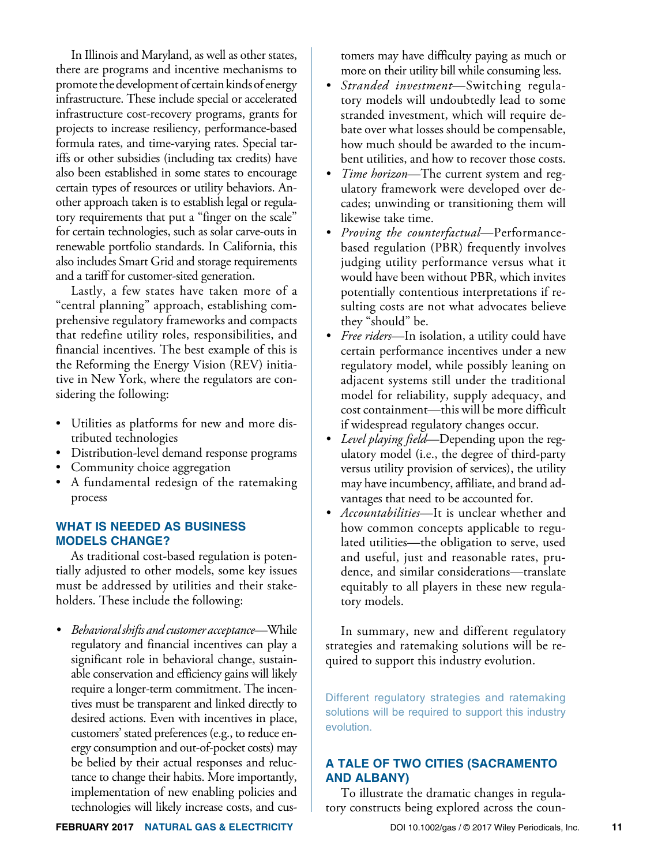In Illinois and Maryland, as well as other states, there are programs and incentive mechanisms to promote the development of certain kinds of energy infrastructure. These include special or accelerated infrastructure cost-recovery programs, grants for projects to increase resiliency, performance-based formula rates, and time-varying rates. Special tariffs or other subsidies (including tax credits) have also been established in some states to encourage certain types of resources or utility behaviors. Another approach taken is to establish legal or regulatory requirements that put a "finger on the scale" for certain technologies, such as solar carve-outs in renewable portfolio standards. In California, this also includes Smart Grid and storage requirements and a tariff for customer-sited generation.

Lastly, a few states have taken more of a "central planning" approach, establishing comprehensive regulatory frameworks and compacts that redefine utility roles, responsibilities, and financial incentives. The best example of this is the Reforming the Energy Vision (REV) initiative in New York, where the regulators are considering the following:

- Utilities as platforms for new and more distributed technologies
- Distribution-level demand response programs
- Community choice aggregation
- A fundamental redesign of the ratemaking process

#### **WHAT IS NEEDED AS BUSINESS MODELS CHANGE?**

As traditional cost-based regulation is potentially adjusted to other models, some key issues must be addressed by utilities and their stakeholders. These include the following:

*• Behavioral shifts and customer acceptance*—While regulatory and financial incentives can play a significant role in behavioral change, sustainable conservation and efficiency gains will likely require a longer-term commitment. The incentives must be transparent and linked directly to desired actions. Even with incentives in place, customers' stated preferences (e.g., to reduce energy consumption and out-of-pocket costs) may be belied by their actual responses and reluctance to change their habits. More importantly, implementation of new enabling policies and technologies will likely increase costs, and customers may have difficulty paying as much or more on their utility bill while consuming less.

- *• Stranded investment*—Switching regulatory models will undoubtedly lead to some stranded investment, which will require debate over what losses should be compensable, how much should be awarded to the incumbent utilities, and how to recover those costs.
- *• Time horizon*—The current system and regulatory framework were developed over decades; unwinding or transitioning them will likewise take time.
- *• Proving the counterfactual*—Performancebased regulation (PBR) frequently involves judging utility performance versus what it would have been without PBR, which invites potentially contentious interpretations if resulting costs are not what advocates believe they "should" be.
- *• Free riders*—In isolation, a utility could have certain performance incentives under a new regulatory model, while possibly leaning on adjacent systems still under the traditional model for reliability, supply adequacy, and cost containment—this will be more difficult if widespread regulatory changes occur.
- *• Level playing field*—Depending upon the regulatory model (i.e., the degree of third-party versus utility provision of services), the utility may have incumbency, affiliate, and brand advantages that need to be accounted for.
- *• Accountabilities*—It is unclear whether and how common concepts applicable to regulated utilities—the obligation to serve, used and useful, just and reasonable rates, prudence, and similar considerations—translate equitably to all players in these new regulatory models.

In summary, new and different regulatory strategies and ratemaking solutions will be required to support this industry evolution.

Different regulatory strategies and ratemaking solutions will be required to support this industry evolution.

## **A TALE OF TWO CITIES (SACRAMENTO AND ALBANY)**

To illustrate the dramatic changes in regulatory constructs being explored across the coun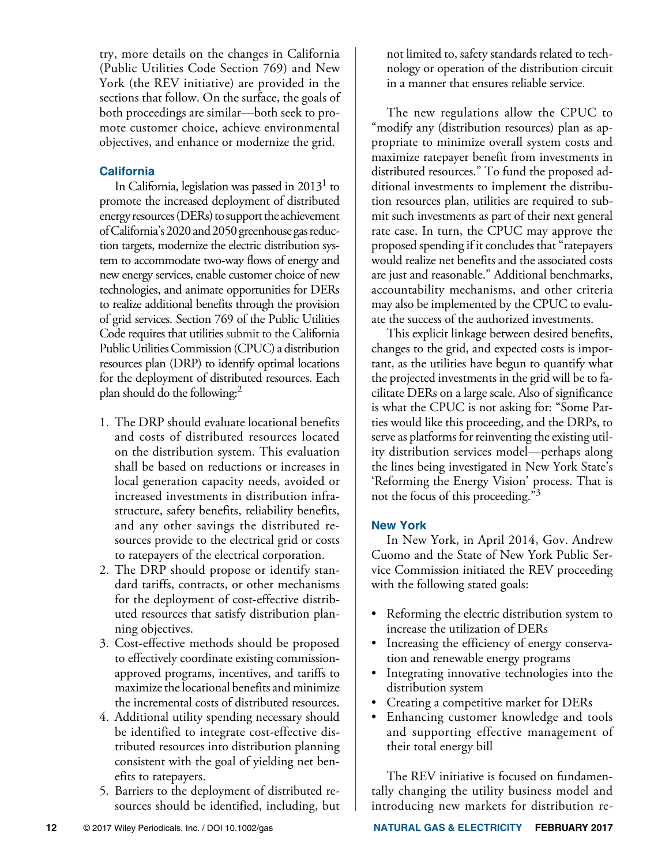try, more details on the changes in California (Public Utilities Code Section 769) and New York (the REV initiative) are provided in the sections that follow. On the surface, the goals of both proceedings are similar—both seek to promote customer choice, achieve environmental objectives, and enhance or modernize the grid.

## **California**

In California, legislation was passed in  $2013<sup>1</sup>$  to promote the increased deployment of distributed energy resources (DERs) to support the achievement of California's 2020 and 2050 greenhouse gas reduction targets, modernize the electric distribution system to accommodate two-way flows of energy and new energy services, enable customer choice of new technologies, and animate opportunities for DERs to realize additional benefits through the provision of grid services. Section 769 of the Public Utilities Code requires that utilities submit to the California Public Utilities Commission (CPUC) a distribution resources plan (DRP) to identify optimal locations for the deployment of distributed resources. Each plan should do the following:2

- 1. The DRP should evaluate locational benefits and costs of distributed resources located on the distribution system. This evaluation shall be based on reductions or increases in local generation capacity needs, avoided or increased investments in distribution infrastructure, safety benefits, reliability benefits, and any other savings the distributed resources provide to the electrical grid or costs to ratepayers of the electrical corporation.
- 2. The DRP should propose or identify standard tariffs, contracts, or other mechanisms for the deployment of cost-effective distributed resources that satisfy distribution planning objectives.
- 3. Cost-effective methods should be proposed to effectively coordinate existing commissionapproved programs, incentives, and tariffs to maximize the locational benefits and minimize the incremental costs of distributed resources.
- 4. Additional utility spending necessary should be identified to integrate cost-effective distributed resources into distribution planning consistent with the goal of yielding net benefits to ratepayers.
- 5. Barriers to the deployment of distributed resources should be identified, including, but

not limited to, safety standards related to technology or operation of the distribution circuit in a manner that ensures reliable service.

The new regulations allow the CPUC to "modify any (distribution resources) plan as appropriate to minimize overall system costs and maximize ratepayer benefit from investments in distributed resources." To fund the proposed additional investments to implement the distribution resources plan, utilities are required to submit such investments as part of their next general rate case. In turn, the CPUC may approve the proposed spending if it concludes that "ratepayers would realize net benefits and the associated costs are just and reasonable." Additional benchmarks, accountability mechanisms, and other criteria may also be implemented by the CPUC to evaluate the success of the authorized investments.

This explicit linkage between desired benefits, changes to the grid, and expected costs is important, as the utilities have begun to quantify what the projected investments in the grid will be to facilitate DERs on a large scale. Also of significance is what the CPUC is not asking for: "Some Parties would like this proceeding, and the DRPs, to serve as platforms for reinventing the existing utility distribution services model—perhaps along the lines being investigated in New York State's 'Reforming the Energy Vision' process. That is not the focus of this proceeding."3

## **New York**

In New York, in April 2014, Gov. Andrew Cuomo and the State of New York Public Service Commission initiated the REV proceeding with the following stated goals:

- Reforming the electric distribution system to increase the utilization of DERs
- Increasing the efficiency of energy conservation and renewable energy programs
- Integrating innovative technologies into the distribution system
- Creating a competitive market for DERs
- Enhancing customer knowledge and tools and supporting effective management of their total energy bill

The REV initiative is focused on fundamentally changing the utility business model and introducing new markets for distribution re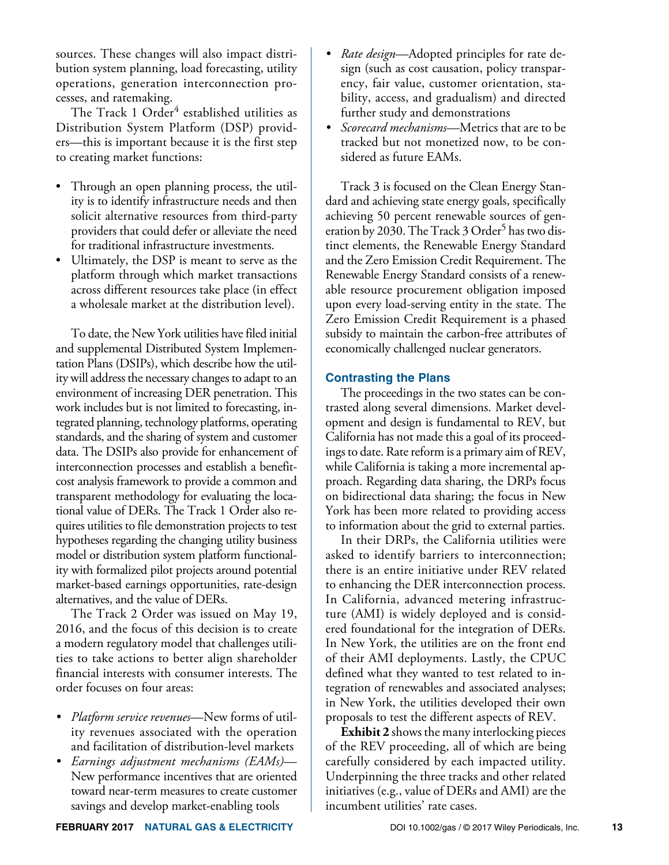sources. These changes will also impact distribution system planning, load forecasting, utility operations, generation interconnection processes, and ratemaking.

The Track 1 Order<sup>4</sup> established utilities as Distribution System Platform (DSP) providers—this is important because it is the first step to creating market functions:

- Through an open planning process, the utility is to identify infrastructure needs and then solicit alternative resources from third-party providers that could defer or alleviate the need for traditional infrastructure investments.
- Ultimately, the DSP is meant to serve as the platform through which market transactions across different resources take place (in effect a wholesale market at the distribution level).

To date, the New York utilities have filed initial and supplemental Distributed System Implementation Plans (DSIPs), which describe how the utility will address the necessary changes to adapt to an environment of increasing DER penetration. This work includes but is not limited to forecasting, integrated planning, technology platforms, operating standards, and the sharing of system and customer data. The DSIPs also provide for enhancement of interconnection processes and establish a benefitcost analysis framework to provide a common and transparent methodology for evaluating the locational value of DERs. The Track 1 Order also requires utilities to file demonstration projects to test hypotheses regarding the changing utility business model or distribution system platform functionality with formalized pilot projects around potential market-based earnings opportunities, rate-design alternatives, and the value of DERs.

The Track 2 Order was issued on May 19, 2016, and the focus of this decision is to create a modern regulatory model that challenges utilities to take actions to better align shareholder financial interests with consumer interests. The order focuses on four areas:

- *• Platform service revenues*—New forms of utility revenues associated with the operation and facilitation of distribution-level markets
- *• Earnings adjustment mechanisms (EAMs)* New performance incentives that are oriented toward near-term measures to create customer savings and develop market-enabling tools
- *• Rate design*—Adopted principles for rate design (such as cost causation, policy transparency, fair value, customer orientation, stability, access, and gradualism) and directed further study and demonstrations
- *• Scorecard mechanisms*—Metrics that are to be tracked but not monetized now, to be considered as future EAMs.

Track 3 is focused on the Clean Energy Standard and achieving state energy goals, specifically achieving 50 percent renewable sources of generation by 2030. The Track 3 Order<sup>5</sup> has two distinct elements, the Renewable Energy Standard and the Zero Emission Credit Requirement. The Renewable Energy Standard consists of a renewable resource procurement obligation imposed upon every load-serving entity in the state. The Zero Emission Credit Requirement is a phased subsidy to maintain the carbon-free attributes of economically challenged nuclear generators.

#### **Contrasting the Plans**

The proceedings in the two states can be contrasted along several dimensions. Market development and design is fundamental to REV, but California has not made this a goal of its proceedings to date. Rate reform is a primary aim of REV, while California is taking a more incremental approach. Regarding data sharing, the DRPs focus on bidirectional data sharing; the focus in New York has been more related to providing access to information about the grid to external parties.

In their DRPs, the California utilities were asked to identify barriers to interconnection; there is an entire initiative under REV related to enhancing the DER interconnection process. In California, advanced metering infrastructure (AMI) is widely deployed and is considered foundational for the integration of DERs. In New York, the utilities are on the front end of their AMI deployments. Lastly, the CPUC defined what they wanted to test related to integration of renewables and associated analyses; in New York, the utilities developed their own proposals to test the different aspects of REV.

**Exhibit 2** shows the many interlocking pieces of the REV proceeding, all of which are being carefully considered by each impacted utility. Underpinning the three tracks and other related initiatives (e.g., value of DERs and AMI) are the incumbent utilities' rate cases.